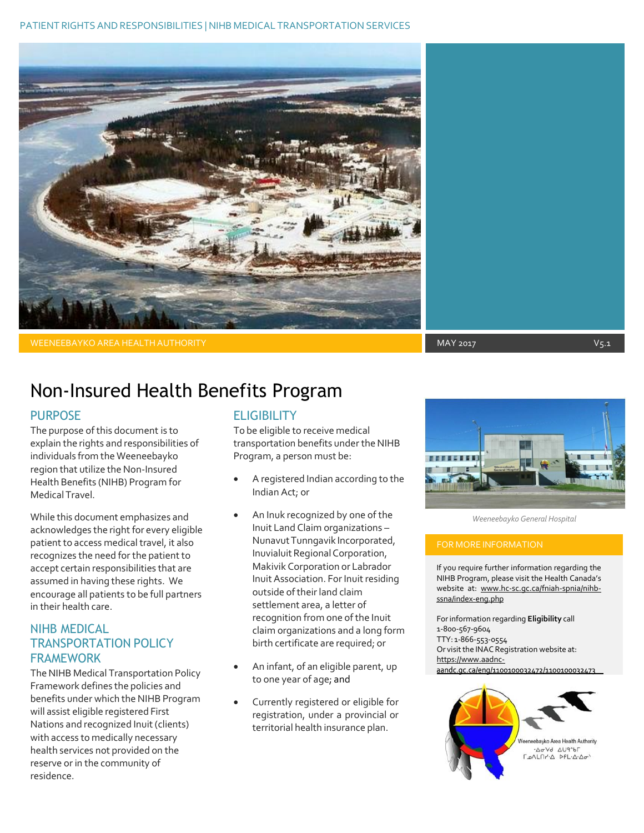

WEENEEBAYKO AREA HEALTH AUTHORITY AND A MAY 2017 A MAY 2017 A MAY 2017 A MAY 2017 A MAY 2017 A MAY 2018 A MAY 2017

## Non-Insured Health Benefits Program

#### PURPOSE

The purpose of this document is to explain the rights and responsibilities of individuals from the Weeneebayko region that utilize the Non-Insured Health Benefits (NIHB) Program for Medical Travel.

While this document emphasizes and acknowledges the right for every eligible patient to access medical travel, it also recognizes the need for the patient to accept certain responsibilities that are assumed in having these rights. We encourage all patients to be full partners in their health care.

### NIHB MEDICAL TRANSPORTATION POLICY FRAMEWORK

The NIHB Medical Transportation Policy Framework defines the policies and benefits under which the NIHB Program will assist eligible registered First Nations and recognized Inuit (clients) with access to medically necessary health services not provided on the reserve or in the community of residence.

### **ELIGIBILITY**

To be eligible to receive medical transportation benefits under the NIHB Program, a person must be:

- A registered Indian according to the Indian Act; or
- An Inuk recognized by one of the Inuit Land Claim organizations – Nunavut Tunngavik Incorporated, Inuvialuit Regional Corporation, Makivik Corporation or Labrador Inuit Association. For Inuit residing outside oftheir land claim settlement area, a letter of recognition from one of the Inuit claim organizations and a long form birth certificate are required; or
- An infant, of an eligible parent, up to one year of age; and
- Currently registered or eligible for registration, under a provincial or territorial health insurance plan.



*Weeneebayko General Hospital*

If you require further information regarding the NIHB Program, please visit the Health Canada's website at: [www.hc-sc.gc.ca/fniah-spnia/nihb](http://www.hc-sc.gc.ca/fniah-spnia/nihb-ssna/index-eng.php)[ssna/index-eng.php](http://www.hc-sc.gc.ca/fniah-spnia/nihb-ssna/index-eng.php)

Forinformation regarding **Eligibility** call 1-800-567-9604 TTY: 1-866-553-0554 Or visit the INAC Registration website at: [https://www.aadnc-](https://www.aadnc-aandc.gc.ca/eng/1100100032472/1100100032473)<br>aandc.gc.ca/eng/1100100032472/1100100032473

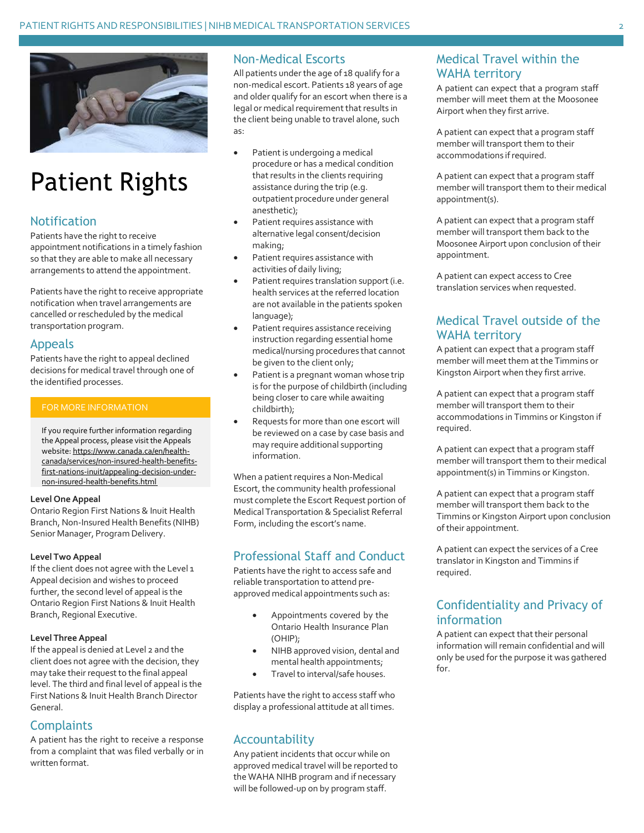

# Patient Rights

### Notification

Patients have the right to receive appointment notifications in a timely fashion so that they are able to make all necessary arrangements to attend the appointment.

Patients have the right to receive appropriate notification when travel arrangements are cancelled or rescheduled by the medical transportation program.

#### Appeals

Patients have the right to appeal declined decisions for medical travel through one of the identified processes.

#### FOR MORE INFORMATION

If you require further information regarding the Appeal process, please visit the Appeals website: [https://www.canada.ca/en/health](https://www.canada.ca/en/health-canada/services/non-insured-health-benefits-first-nations-inuit/appealing-decision-under-non-insured-health-benefits.html)[canada/services/non-insured-health-benefits](https://www.canada.ca/en/health-canada/services/non-insured-health-benefits-first-nations-inuit/appealing-decision-under-non-insured-health-benefits.html)[first-nations-inuit/appealing-decision-under](https://www.canada.ca/en/health-canada/services/non-insured-health-benefits-first-nations-inuit/appealing-decision-under-non-insured-health-benefits.html)[non-insured-health-benefits.html](https://www.canada.ca/en/health-canada/services/non-insured-health-benefits-first-nations-inuit/appealing-decision-under-non-insured-health-benefits.html)

#### **Level OneAppeal**

Ontario Region First Nations & Inuit Health Branch, Non-Insured Health Benefits (NIHB) Senior Manager, Program Delivery.

#### **Level Two Appeal**

If the client does not agree with the Level 1 Appeal decision and wishes to proceed further, the second level of appeal is the Ontario Region First Nations & Inuit Health Branch, Regional Executive.

#### **Level Three Appeal**

If the appeal is denied at Level 2 and the client does not agree with the decision, they may take their request to the final appeal level. The third and final level of appeal is the First Nations & Inuit Health Branch Director General.

### **Complaints**

A patient has the right to receive a response from a complaint that was filed verbally or in written format.

#### Non-Medical Escorts

All patients under the age of 18 qualify for a non-medical escort. Patients 18 years of age and older qualify for an escort when there is a legal or medical requirement that results in the client being unable to travel alone, such as:

- Patient is undergoing a medical procedure or has a medical condition that results in the clients requiring assistance during the trip (e.g. outpatient procedure under general anesthetic);
- Patient requires assistance with alternative legal consent/decision making;
- Patient requires assistance with activities of daily living;
- Patient requires translation support(i.e. health services at the referred location are not available in the patients spoken language);
- Patient requires assistance receiving instruction regarding essential home medical/nursing procedures that cannot be given to the client only;
- Patient is a pregnant woman whose trip is for the purpose of childbirth (including being closer to care while awaiting childbirth);
- Requests for more than one escort will be reviewed on a case by case basis and may require additional supporting information.

When a patient requires a Non-Medical Escort, the community health professional must complete the Escort Request portion of Medical Transportation & Specialist Referral Form, including the escort's name.

### Professional Staff and Conduct

Patients have the right to access safe and reliable transportation to attend preapproved medical appointments such as:

- Appointments covered by the Ontario Health Insurance Plan (OHIP);
- NIHB approved vision, dental and mental health appointments;
- Travel to interval/safe houses.

Patients have the right to access staff who display a professional attitude at all times.

#### Accountability

Any patient incidents that occur while on approved medical travel will be reported to the WAHA NIHB program and if necessary will be followed-up on by program staff.

## Medical Travel within the WAHA territory

A patient can expect that a program staff member will meet them at the Moosonee Airport when they first arrive.

A patient can expect that a program staff member will transport them to their accommodations ifrequired.

A patient can expect that a program staff member will transport them to their medical appointment(s).

A patient can expect that a program staff member will transport them back to the Moosonee Airport upon conclusion of their appointment.

A patient can expect access to Cree translation services when requested.

### Medical Travel outside of the WAHA territory

A patient can expect that a program staff member will meet them at the Timmins or Kingston Airport when they first arrive.

A patient can expect that a program staff member will transport them to their accommodations in Timmins or Kingston if required.

A patient can expect that a program staff member will transport them to their medical appointment(s) in Timmins or Kingston.

A patient can expect that a program staff member will transport them back to the Timmins or Kingston Airport upon conclusion of their appointment.

A patient can expect the services of a Cree translator in Kingston and Timmins if required.

### Confidentiality and Privacy of information

A patient can expect that their personal information will remain confidential and will only be used for the purpose it was gathered for.